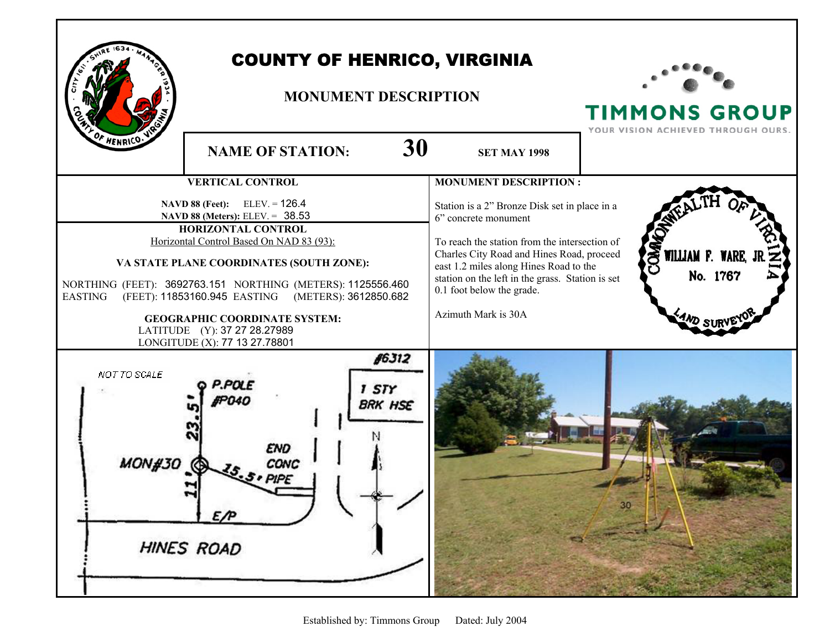

## COUNTY OF HENRICO, VIRGINIA

## **MONUMENT DESCRIPTION**



**TIMMONS GROUP**